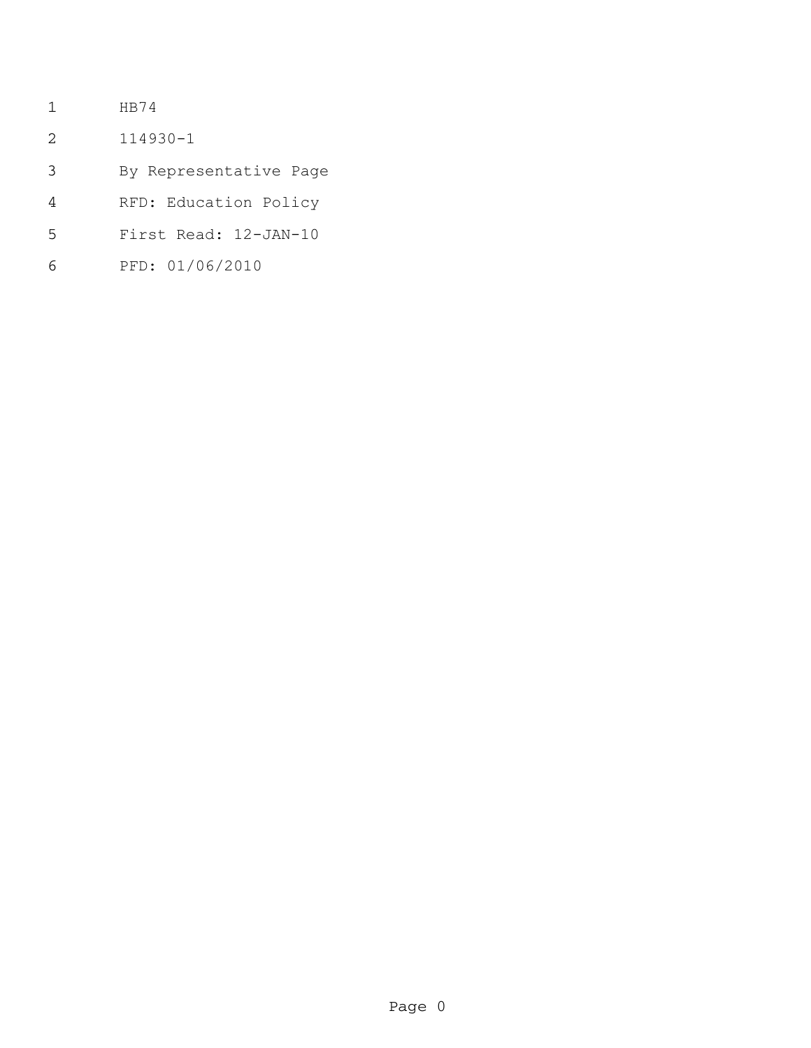- HB74
- 114930-1
- By Representative Page
- RFD: Education Policy
- First Read: 12-JAN-10
- PFD: 01/06/2010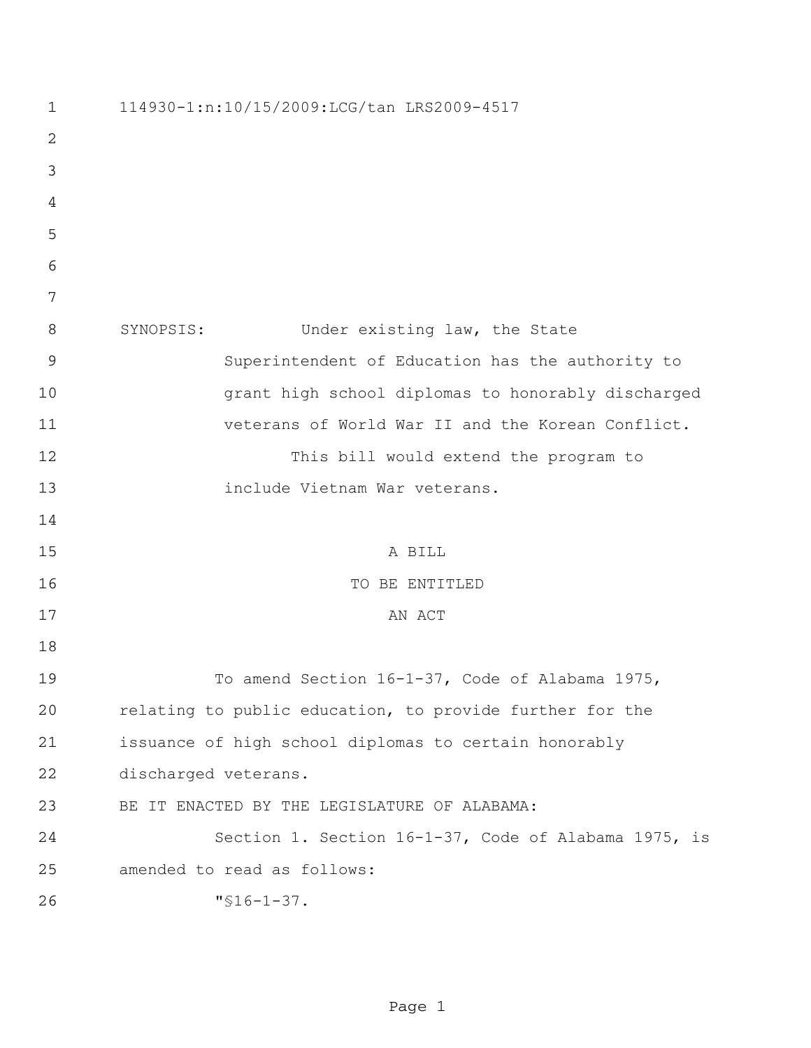| $\mathbf 1$    | 114930-1:n:10/15/2009:LCG/tan LRS2009-4517               |
|----------------|----------------------------------------------------------|
| 2              |                                                          |
| 3              |                                                          |
| 4              |                                                          |
| 5              |                                                          |
| 6              |                                                          |
| 7              |                                                          |
| 8              | SYNOPSIS:<br>Under existing law, the State               |
| $\overline{9}$ | Superintendent of Education has the authority to         |
| 10             | grant high school diplomas to honorably discharged       |
| 11             | veterans of World War II and the Korean Conflict.        |
| 12             | This bill would extend the program to                    |
| 13             | include Vietnam War veterans.                            |
| 14             |                                                          |
| 15             | A BILL                                                   |
| 16             | TO BE ENTITLED                                           |
| 17             | AN ACT                                                   |
| 18             |                                                          |
| 19             | To amend Section 16-1-37, Code of Alabama 1975,          |
| 20             | relating to public education, to provide further for the |
| 21             | issuance of high school diplomas to certain honorably    |
| 22             | discharged veterans.                                     |
| 23             | BE IT ENACTED BY THE LEGISLATURE OF ALABAMA:             |
| 24             | Section 1. Section 16-1-37, Code of Alabama 1975, is     |
| 25             | amended to read as follows:                              |
| 26             | $"$ \$16-1-37.                                           |